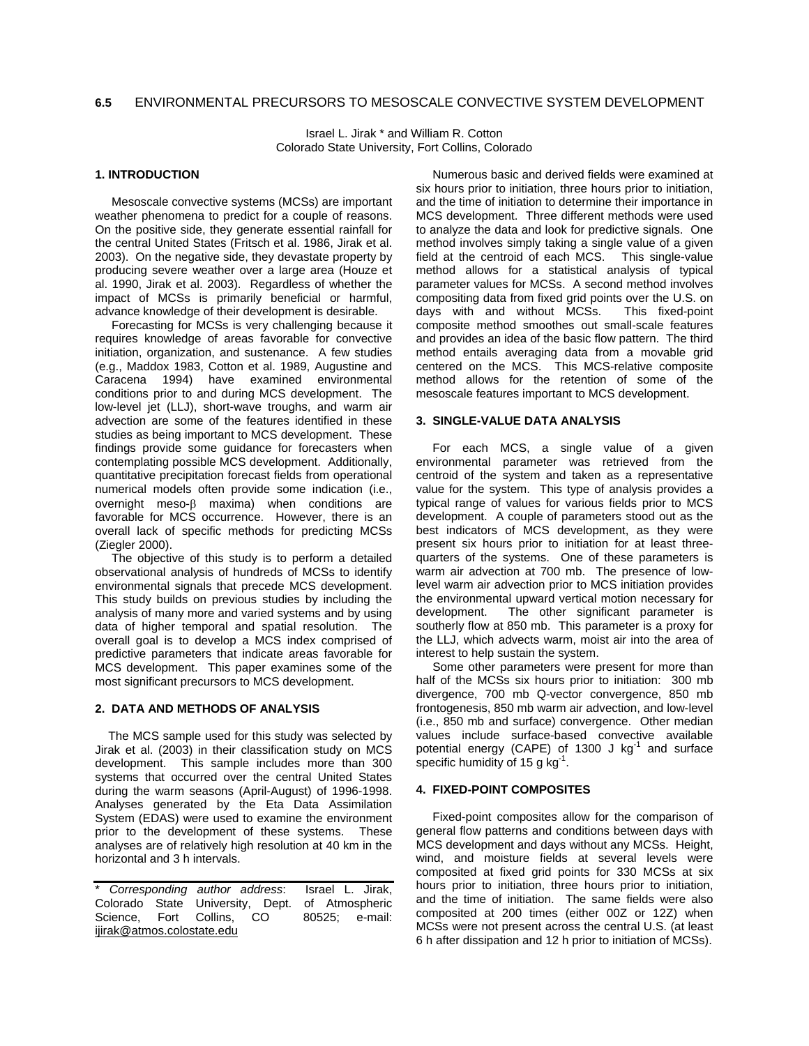Israel L. Jirak \* and William R. Cotton Colorado State University, Fort Collins, Colorado

# **1. INTRODUCTION**

 Mesoscale convective systems (MCSs) are important weather phenomena to predict for a couple of reasons. On the positive side, they generate essential rainfall for the central United States (Fritsch et al. 1986, Jirak et al. 2003). On the negative side, they devastate property by producing severe weather over a large area (Houze et al. 1990, Jirak et al. 2003). Regardless of whether the impact of MCSs is primarily beneficial or harmful, advance knowledge of their development is desirable.

 Forecasting for MCSs is very challenging because it requires knowledge of areas favorable for convective initiation, organization, and sustenance. A few studies (e.g., Maddox 1983, Cotton et al. 1989, Augustine and Caracena 1994) have examined environmental conditions prior to and during MCS development. The low-level jet (LLJ), short-wave troughs, and warm air advection are some of the features identified in these studies as being important to MCS development. These findings provide some guidance for forecasters when contemplating possible MCS development. Additionally, quantitative precipitation forecast fields from operational numerical models often provide some indication (i.e., overnight meso-β maxima) when conditions are favorable for MCS occurrence. However, there is an overall lack of specific methods for predicting MCSs (Ziegler 2000).

 The objective of this study is to perform a detailed observational analysis of hundreds of MCSs to identify environmental signals that precede MCS development. This study builds on previous studies by including the analysis of many more and varied systems and by using data of higher temporal and spatial resolution. The overall goal is to develop a MCS index comprised of predictive parameters that indicate areas favorable for MCS development. This paper examines some of the most significant precursors to MCS development.

## **2. DATA AND METHODS OF ANALYSIS**

The MCS sample used for this study was selected by Jirak et al. (2003) in their classification study on MCS development. This sample includes more than 300 systems that occurred over the central United States during the warm seasons (April-August) of 1996-1998. Analyses generated by the Eta Data Assimilation System (EDAS) were used to examine the environment prior to the development of these systems. These analyses are of relatively high resolution at 40 km in the horizontal and 3 h intervals.

\* *Corresponding author address*: Israel L. Jirak, Colorado State University, Dept. of Atmospheric Science, Fort Collins, CO 80525; e-mail: ijirak@atmos.colostate.edu

 Numerous basic and derived fields were examined at six hours prior to initiation, three hours prior to initiation, and the time of initiation to determine their importance in MCS development. Three different methods were used to analyze the data and look for predictive signals. One method involves simply taking a single value of a given field at the centroid of each MCS. This single-value method allows for a statistical analysis of typical parameter values for MCSs. A second method involves compositing data from fixed grid points over the U.S. on<br>days with and without MCSs. This fixed-point days with and without MCSs. composite method smoothes out small-scale features and provides an idea of the basic flow pattern. The third method entails averaging data from a movable grid centered on the MCS. This MCS-relative composite method allows for the retention of some of the mesoscale features important to MCS development.

# **3. SINGLE-VALUE DATA ANALYSIS**

 For each MCS, a single value of a given environmental parameter was retrieved from the centroid of the system and taken as a representative value for the system. This type of analysis provides a typical range of values for various fields prior to MCS development. A couple of parameters stood out as the best indicators of MCS development, as they were present six hours prior to initiation for at least threequarters of the systems. One of these parameters is warm air advection at 700 mb. The presence of lowlevel warm air advection prior to MCS initiation provides the environmental upward vertical motion necessary for development. The other significant parameter is southerly flow at 850 mb. This parameter is a proxy for the LLJ, which advects warm, moist air into the area of interest to help sustain the system.

 Some other parameters were present for more than half of the MCSs six hours prior to initiation: 300 mb divergence, 700 mb Q-vector convergence, 850 mb frontogenesis, 850 mb warm air advection, and low-level (i.e., 850 mb and surface) convergence. Other median values include surface-based convective available potential energy (CAPE) of 1300  $J$  kg<sup>-1</sup> and surface specific humidity of 15 g  $kg^{-1}$ .

## **4. FIXED-POINT COMPOSITES**

Fixed-point composites allow for the comparison of general flow patterns and conditions between days with MCS development and days without any MCSs. Height, wind, and moisture fields at several levels were composited at fixed grid points for 330 MCSs at six hours prior to initiation, three hours prior to initiation, and the time of initiation. The same fields were also composited at 200 times (either 00Z or 12Z) when MCSs were not present across the central U.S. (at least 6 h after dissipation and 12 h prior to initiation of MCSs).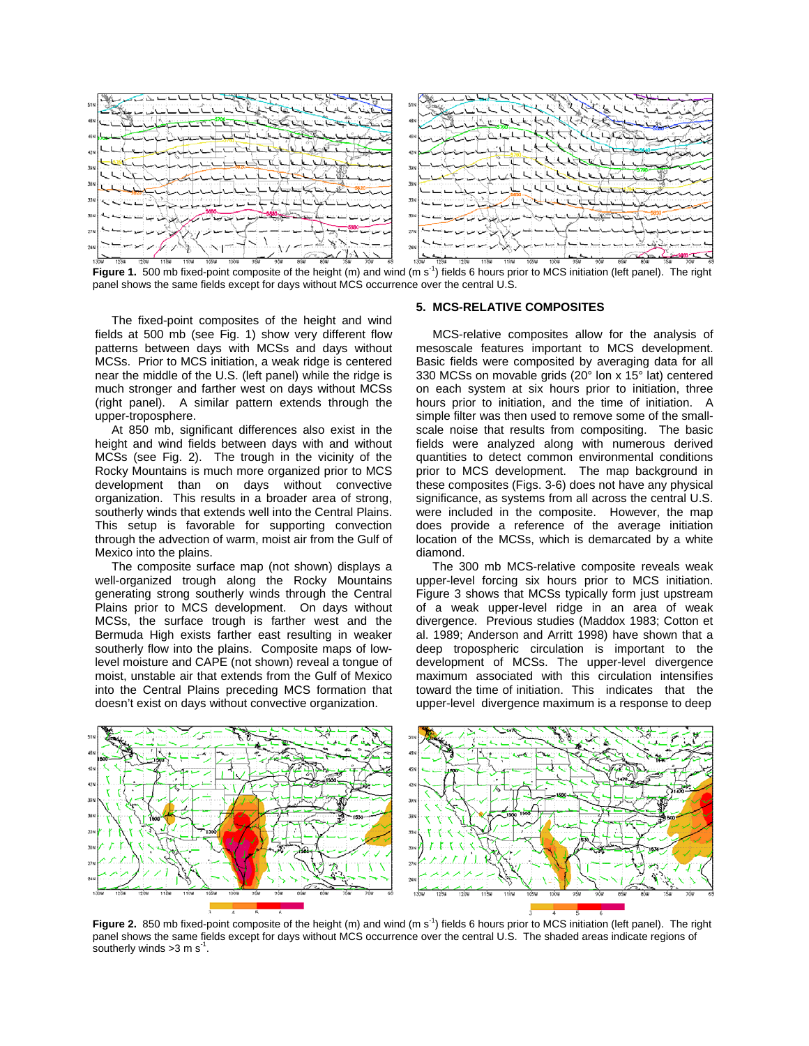

Figure 1. 500 mb fixed-point composite of the height (m) and wind (m s<sup>-1</sup>) fields 6 hours prior to MCS initiation (left panel). The right panel shows the same fields except for days without MCS occurrence over the central U.S.

The fixed-point composites of the height and wind fields at 500 mb (see Fig. 1) show very different flow patterns between days with MCSs and days without MCSs. Prior to MCS initiation, a weak ridge is centered near the middle of the U.S. (left panel) while the ridge is much stronger and farther west on days without MCSs (right panel). A similar pattern extends through the upper-troposphere.

At 850 mb, significant differences also exist in the height and wind fields between days with and without MCSs (see Fig. 2). The trough in the vicinity of the Rocky Mountains is much more organized prior to MCS development than on days without convective organization. This results in a broader area of strong, southerly winds that extends well into the Central Plains. This setup is favorable for supporting convection through the advection of warm, moist air from the Gulf of Mexico into the plains.

The composite surface map (not shown) displays a well-organized trough along the Rocky Mountains generating strong southerly winds through the Central Plains prior to MCS development. On days without MCSs, the surface trough is farther west and the Bermuda High exists farther east resulting in weaker southerly flow into the plains. Composite maps of lowlevel moisture and CAPE (not shown) reveal a tongue of moist, unstable air that extends from the Gulf of Mexico into the Central Plains preceding MCS formation that doesn't exist on days without convective organization.

#### **5. MCS-RELATIVE COMPOSITES**

 MCS-relative composites allow for the analysis of mesoscale features important to MCS development. Basic fields were composited by averaging data for all 330 MCSs on movable grids (20° lon x 15° lat) centered on each system at six hours prior to initiation, three hours prior to initiation, and the time of initiation. A simple filter was then used to remove some of the smallscale noise that results from compositing. The basic fields were analyzed along with numerous derived quantities to detect common environmental conditions prior to MCS development. The map background in these composites (Figs. 3-6) does not have any physical significance, as systems from all across the central U.S. were included in the composite. However, the map does provide a reference of the average initiation location of the MCSs, which is demarcated by a white diamond.

The 300 mb MCS-relative composite reveals weak upper-level forcing six hours prior to MCS initiation. Figure 3 shows that MCSs typically form just upstream of a weak upper-level ridge in an area of weak divergence. Previous studies (Maddox 1983; Cotton et al. 1989; Anderson and Arritt 1998) have shown that a deep tropospheric circulation is important to the development of MCSs. The upper-level divergence maximum associated with this circulation intensifies toward the time of initiation. This indicates that the upper-level divergence maximum is a response to deep



Figure 2. 850 mb fixed-point composite of the height (m) and wind (m s<sup>-1</sup>) fields 6 hours prior to MCS initiation (left panel). The right panel shows the same fields except for days without MCS occurrence over the central U.S. The shaded areas indicate regions of southerly winds  $>3$  m s<sup>-1</sup>.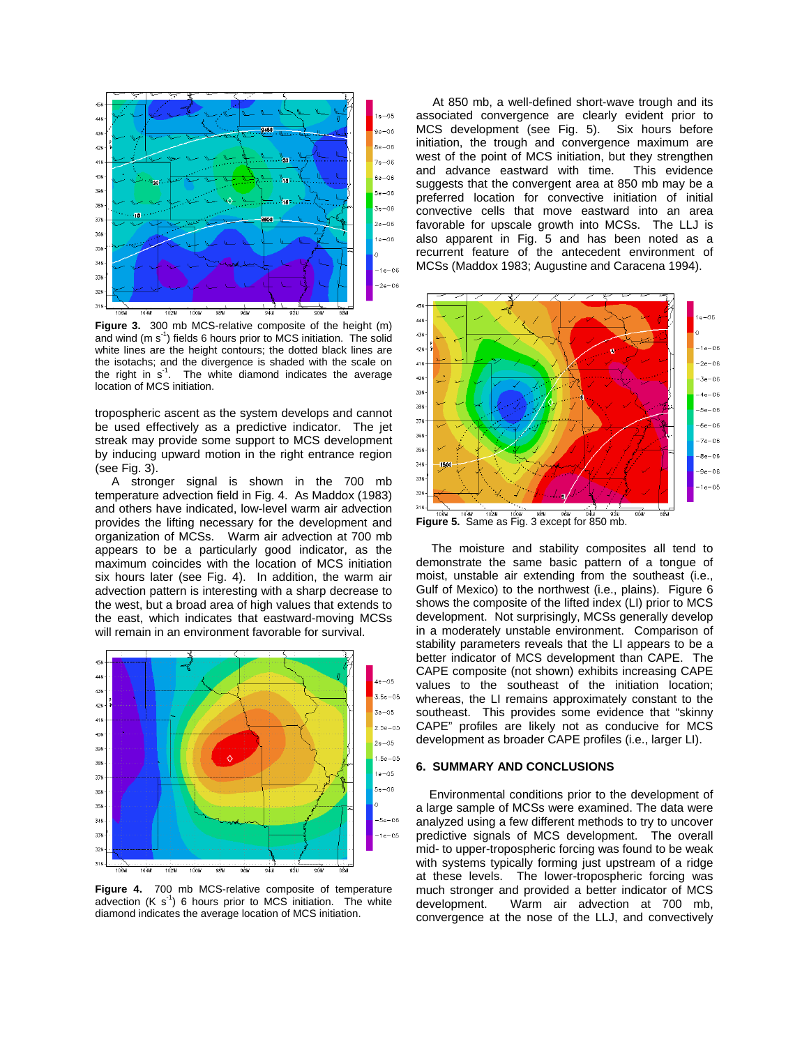

**Figure 3.** 300 mb MCS-relative composite of the height (m) and wind  $(m s<sup>-1</sup>)$  fields 6 hours prior to MCS initiation. The solid white lines are the height contours; the dotted black lines are the isotachs; and the divergence is shaded with the scale on the right in  $s<sup>-1</sup>$ . The white diamond indicates the average location of MCS initiation.

tropospheric ascent as the system develops and cannot be used effectively as a predictive indicator. The jet streak may provide some support to MCS development by inducing upward motion in the right entrance region (see Fig. 3).

A stronger signal is shown in the 700 mb temperature advection field in Fig. 4. As Maddox (1983) and others have indicated, low-level warm air advection provides the lifting necessary for the development and organization of MCSs. Warm air advection at 700 mb appears to be a particularly good indicator, as the maximum coincides with the location of MCS initiation six hours later (see Fig. 4). In addition, the warm air advection pattern is interesting with a sharp decrease to the west, but a broad area of high values that extends to the east, which indicates that eastward-moving MCSs will remain in an environment favorable for survival.



**Figure 4.** 700 mb MCS-relative composite of temperature advection  $(K s<sup>-1</sup>)$  6 hours prior to MCS initiation. The white diamond indicates the average location of MCS initiation.

 At 850 mb, a well-defined short-wave trough and its associated convergence are clearly evident prior to<br>MCS development (see Fig. 5). Six hours before MCS development (see Fig. 5). initiation, the trough and convergence maximum are west of the point of MCS initiation, but they strengthen and advance eastward with time. This evidence suggests that the convergent area at 850 mb may be a preferred location for convective initiation of initial convective cells that move eastward into an area favorable for upscale growth into MCSs. The LLJ is also apparent in Fig. 5 and has been noted as a recurrent feature of the antecedent environment of MCSs (Maddox 1983; Augustine and Caracena 1994).



 The moisture and stability composites all tend to demonstrate the same basic pattern of a tongue of moist, unstable air extending from the southeast (i.e., Gulf of Mexico) to the northwest (i.e., plains). Figure 6 shows the composite of the lifted index (LI) prior to MCS development. Not surprisingly, MCSs generally develop in a moderately unstable environment. Comparison of stability parameters reveals that the LI appears to be a better indicator of MCS development than CAPE. The CAPE composite (not shown) exhibits increasing CAPE values to the southeast of the initiation location; whereas, the LI remains approximately constant to the southeast. This provides some evidence that "skinny

CAPE" profiles are likely not as conducive for MCS development as broader CAPE profiles (i.e., larger LI).

#### **6. SUMMARY AND CONCLUSIONS**

Environmental conditions prior to the development of a large sample of MCSs were examined. The data were analyzed using a few different methods to try to uncover predictive signals of MCS development. The overall mid- to upper-tropospheric forcing was found to be weak with systems typically forming just upstream of a ridge at these levels. The lower-tropospheric forcing was much stronger and provided a better indicator of MCS development. Warm air advection at 700 mb, convergence at the nose of the LLJ, and convectively